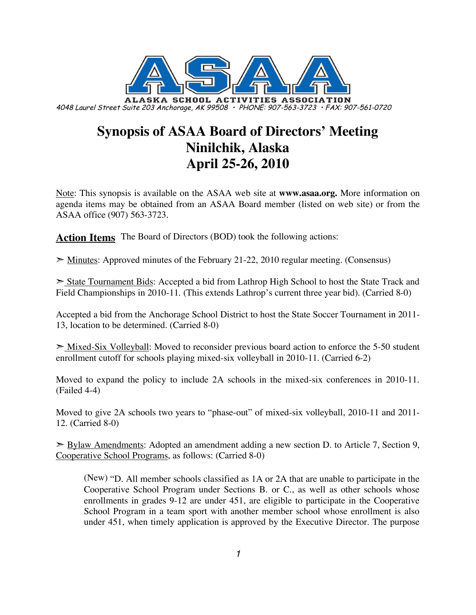

# **Synopsis of ASAA Board of Directors' Meeting Ninilchik, Alaska April 25-26, 2010**

Note: This synopsis is available on the ASAA web site at **www.asaa.org.** More information on agenda items may be obtained from an ASAA Board member (listed on web site) or from the ASAA office (907) 563-3723.

**Action Items** The Board of Directors (BOD) took the following actions:

➣ Minutes: Approved minutes of the February 21-22, 2010 regular meeting. (Consensus)

State Tournament Bids: Accepted a bid from Lathrop High School to host the State Track and Field Championships in 2010-11. (This extends Lathrop's current three year bid). (Carried 8-0)

Accepted a bid from the Anchorage School District to host the State Soccer Tournament in 2011- 13, location to be determined. (Carried 8-0)

 $\geq$  Mixed-Six Volleyball: Moved to reconsider previous board action to enforce the 5-50 student enrollment cutoff for schools playing mixed-six volleyball in 2010-11. (Carried 6-2)

Moved to expand the policy to include 2A schools in the mixed-six conferences in 2010-11. (Failed 4-4)

Moved to give 2A schools two years to "phase-out" of mixed-six volleyball, 2010-11 and 2011- 12. (Carried 8-0)

➣ Bylaw Amendments: Adopted an amendment adding a new section D. to Article 7, Section 9, Cooperative School Programs, as follows: (Carried 8-0)

(New) "D. All member schools classified as 1A or 2A that are unable to participate in the Cooperative School Program under Sections B. or C., as well as other schools whose enrollments in grades 9-12 are under 451, are eligible to participate in the Cooperative School Program in a team sport with another member school whose enrollment is also under 451, when timely application is approved by the Executive Director. The purpose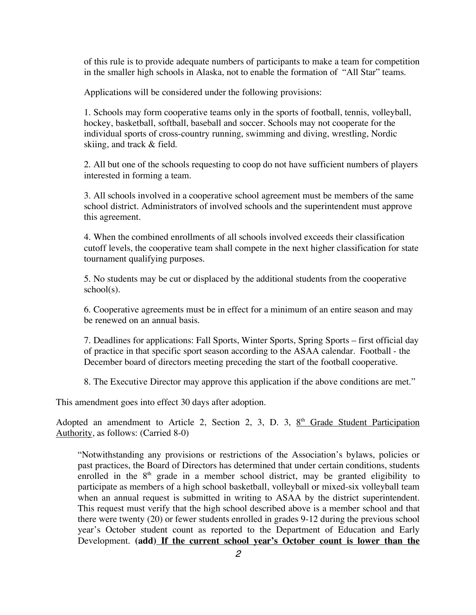of this rule is to provide adequate numbers of participants to make a team for competition in the smaller high schools in Alaska, not to enable the formation of "All Star" teams.

Applications will be considered under the following provisions:

1. Schools may form cooperative teams only in the sports of football, tennis, volleyball, hockey, basketball, softball, baseball and soccer. Schools may not cooperate for the individual sports of cross-country running, swimming and diving, wrestling, Nordic skiing, and track & field.

2. All but one of the schools requesting to coop do not have sufficient numbers of players interested in forming a team.

3. All schools involved in a cooperative school agreement must be members of the same school district. Administrators of involved schools and the superintendent must approve this agreement.

4. When the combined enrollments of all schools involved exceeds their classification cutoff levels, the cooperative team shall compete in the next higher classification for state tournament qualifying purposes.

5. No students may be cut or displaced by the additional students from the cooperative school(s).

6. Cooperative agreements must be in effect for a minimum of an entire season and may be renewed on an annual basis.

7. Deadlines for applications: Fall Sports, Winter Sports, Spring Sports – first official day of practice in that specific sport season according to the ASAA calendar. Football - the December board of directors meeting preceding the start of the football cooperative.

8. The Executive Director may approve this application if the above conditions are met."

This amendment goes into effect 30 days after adoption.

Adopted an amendment to Article 2, Section 2, 3, D. 3,  $8<sup>th</sup>$  Grade Student Participation Authority, as follows: (Carried 8-0)

"Notwithstanding any provisions or restrictions of the Association's bylaws, policies or past practices, the Board of Directors has determined that under certain conditions, students enrolled in the  $8<sup>th</sup>$  grade in a member school district, may be granted eligibility to participate as members of a high school basketball, volleyball or mixed-six volleyball team when an annual request is submitted in writing to ASAA by the district superintendent. This request must verify that the high school described above is a member school and that there were twenty (20) or fewer students enrolled in grades 9-12 during the previous school year's October student count as reported to the Department of Education and Early Development. **(add) If the current school year's October count is lower than the**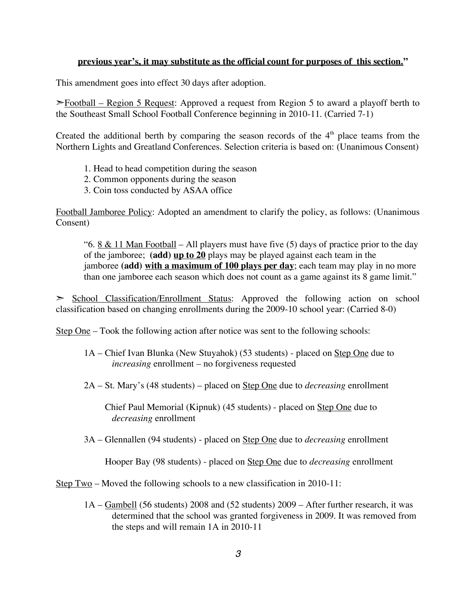#### **previous year's, it may substitute as the official count for purposes of this section."**

This amendment goes into effect 30 days after adoption.

➣Football – Region 5 Request: Approved a request from Region 5 to award a playoff berth to the Southeast Small School Football Conference beginning in 2010-11. (Carried 7-1)

Created the additional berth by comparing the season records of the  $4<sup>th</sup>$  place teams from the Northern Lights and Greatland Conferences. Selection criteria is based on: (Unanimous Consent)

- 1. Head to head competition during the season
- 2. Common opponents during the season
- 3. Coin toss conducted by ASAA office

Football Jamboree Policy: Adopted an amendment to clarify the policy, as follows: (Unanimous Consent)

"6. 8  $\&$  11 Man Football – All players must have five (5) days of practice prior to the day of the jamboree; **(add) up to 20** plays may be played against each team in the jamboree **(add) with a maximum of 100 plays per day**; each team may play in no more than one jamboree each season which does not count as a game against its 8 game limit."

➣ School Classification/Enrollment Status: Approved the following action on school classification based on changing enrollments during the 2009-10 school year: (Carried 8-0)

Step One – Took the following action after notice was sent to the following schools:

- 1A Chief Ivan Blunka (New Stuyahok) (53 students) placed on Step One due to *increasing* enrollment – no forgiveness requested
- 2A St. Mary's (48 students) placed on Step One due to *decreasing* enrollment

Chief Paul Memorial (Kipnuk) (45 students) - placed on Step One due to *decreasing* enrollment

3A – Glennallen (94 students) - placed on Step One due to *decreasing* enrollment

Hooper Bay (98 students) - placed on Step One due to *decreasing* enrollment

Step Two – Moved the following schools to a new classification in 2010-11:

1A – Gambell (56 students) 2008 and (52 students) 2009 – After further research, it was determined that the school was granted forgiveness in 2009. It was removed from the steps and will remain 1A in 2010-11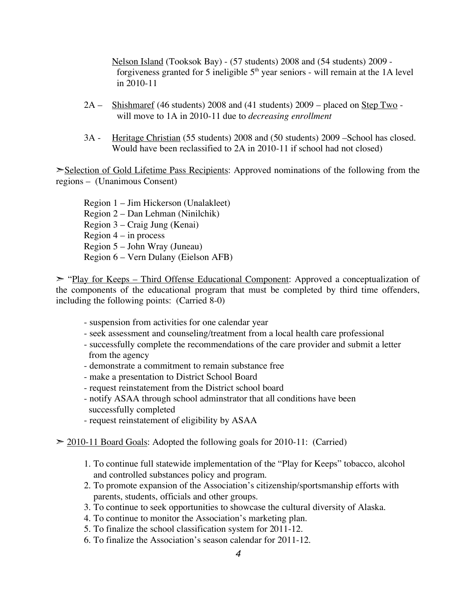Nelson Island (Tooksok Bay) - (57 students) 2008 and (54 students) 2009 forgiveness granted for 5 ineligible  $5<sup>th</sup>$  year seniors - will remain at the 1A level in 2010-11

- $2A \frac{\text{Shishmaref}}{46 \text{ students}}$  2008 and (41 students) 2009 placed on Step Two will move to 1A in 2010-11 due to *decreasing enrollment*
- 3A Heritage Christian (55 students) 2008 and (50 students) 2009 –School has closed. Would have been reclassified to 2A in 2010-11 if school had not closed)

➣Selection of Gold Lifetime Pass Recipients: Approved nominations of the following from the regions – (Unanimous Consent)

Region 1 – Jim Hickerson (Unalakleet) Region 2 – Dan Lehman (Ninilchik) Region 3 – Craig Jung (Kenai) Region  $4 - in$  process Region 5 – John Wray (Juneau) Region 6 – Vern Dulany (Eielson AFB)

➣ "Play for Keeps – Third Offense Educational Component: Approved a conceptualization of the components of the educational program that must be completed by third time offenders, including the following points: (Carried 8-0)

- suspension from activities for one calendar year
- seek assessment and counseling/treatment from a local health care professional
- successfully complete the recommendations of the care provider and submit a letter from the agency
- demonstrate a commitment to remain substance free
- make a presentation to District School Board
- request reinstatement from the District school board
- notify ASAA through school adminstrator that all conditions have been successfully completed
- request reinstatement of eligibility by ASAA
- $\geq$  2010-11 Board Goals: Adopted the following goals for 2010-11: (Carried)
	- 1. To continue full statewide implementation of the "Play for Keeps" tobacco, alcohol and controlled substances policy and program.
	- 2. To promote expansion of the Association's citizenship/sportsmanship efforts with parents, students, officials and other groups.
	- 3. To continue to seek opportunities to showcase the cultural diversity of Alaska.
	- 4. To continue to monitor the Association's marketing plan.
	- 5. To finalize the school classification system for 2011-12.
	- 6. To finalize the Association's season calendar for 2011-12.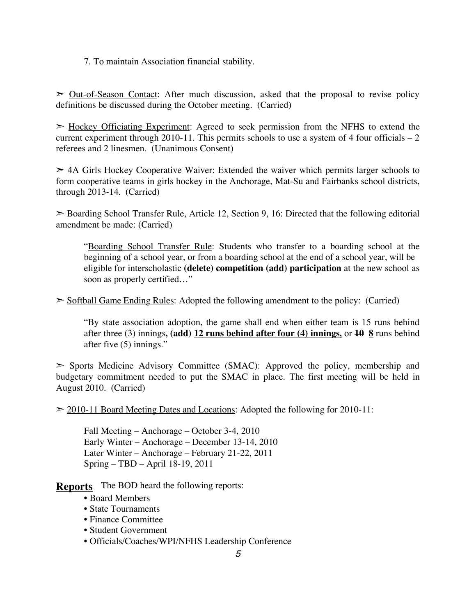7. To maintain Association financial stability.

 $\geq$  Out-of-Season Contact: After much discussion, asked that the proposal to revise policy definitions be discussed during the October meeting. (Carried)

 $\geq$  Hockey Officiating Experiment: Agreed to seek permission from the NFHS to extend the current experiment through 2010-11. This permits schools to use a system of 4 four officials  $-2$ referees and 2 linesmen. (Unanimous Consent)

 $\geq$  4A Girls Hockey Cooperative Waiver: Extended the waiver which permits larger schools to form cooperative teams in girls hockey in the Anchorage, Mat-Su and Fairbanks school districts, through 2013-14. (Carried)

 $\geq$  Boarding School Transfer Rule, Article 12, Section 9, 16: Directed that the following editorial amendment be made: (Carried)

"Boarding School Transfer Rule: Students who transfer to a boarding school at the beginning of a school year, or from a boarding school at the end of a school year, will be eligible for interscholastic **(delete) competition (add) participation** at the new school as soon as properly certified…"

 $\geq$  Softball Game Ending Rules: Adopted the following amendment to the policy: (Carried)

"By state association adoption, the game shall end when either team is 15 runs behind after three (3) innings**, (add) 12 runs behind after four (4) innings,** or **10 8** runs behind after five (5) innings."

➣ Sports Medicine Advisory Committee (SMAC): Approved the policy, membership and budgetary commitment needed to put the SMAC in place. The first meeting will be held in August 2010. (Carried)

 $\geq$  2010-11 Board Meeting Dates and Locations: Adopted the following for 2010-11:

Fall Meeting – Anchorage – October 3-4, 2010 Early Winter – Anchorage – December 13-14, 2010 Later Winter – Anchorage – February 21-22, 2011 Spring – TBD – April 18-19, 2011

**Reports** The BOD heard the following reports:

- Board Members
- State Tournaments
- Finance Committee
- Student Government
- Officials/Coaches/WPI/NFHS Leadership Conference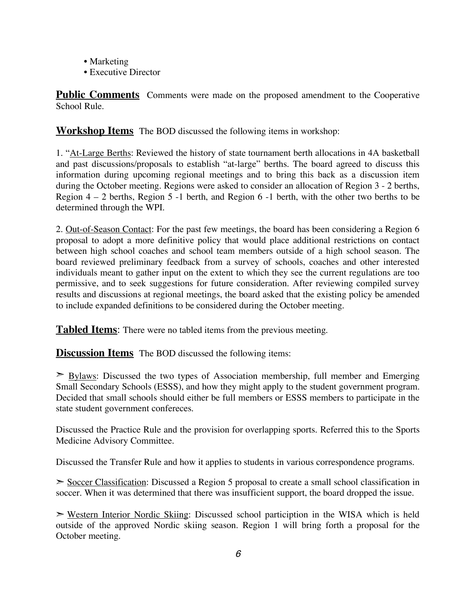- Marketing
- Executive Director

**Public Comments** Comments were made on the proposed amendment to the Cooperative School Rule.

**Workshop Items** The BOD discussed the following items in workshop:

1. "At-Large Berths: Reviewed the history of state tournament berth allocations in 4A basketball and past discussions/proposals to establish "at-large" berths. The board agreed to discuss this information during upcoming regional meetings and to bring this back as a discussion item during the October meeting. Regions were asked to consider an allocation of Region 3 - 2 berths, Region 4 – 2 berths, Region 5 -1 berth, and Region 6 -1 berth, with the other two berths to be determined through the WPI.

2. Out-of-Season Contact: For the past few meetings, the board has been considering a Region 6 proposal to adopt a more definitive policy that would place additional restrictions on contact between high school coaches and school team members outside of a high school season. The board reviewed preliminary feedback from a survey of schools, coaches and other interested individuals meant to gather input on the extent to which they see the current regulations are too permissive, and to seek suggestions for future consideration. After reviewing compiled survey results and discussions at regional meetings, the board asked that the existing policy be amended to include expanded definitions to be considered during the October meeting.

**Tabled Items**: There were no tabled items from the previous meeting.

**Discussion Items** The BOD discussed the following items:

 $\geq$  Bylaws: Discussed the two types of Association membership, full member and Emerging Small Secondary Schools (ESSS), and how they might apply to the student government program. Decided that small schools should either be full members or ESSS members to participate in the state student government confereces.

Discussed the Practice Rule and the provision for overlapping sports. Referred this to the Sports Medicine Advisory Committee.

Discussed the Transfer Rule and how it applies to students in various correspondence programs.

➣ Soccer Classification: Discussed a Region 5 proposal to create a small school classification in soccer. When it was determined that there was insufficient support, the board dropped the issue.

➣ Western Interior Nordic Skiing: Discussed school particiption in the WISA which is held outside of the approved Nordic skiing season. Region 1 will bring forth a proposal for the October meeting.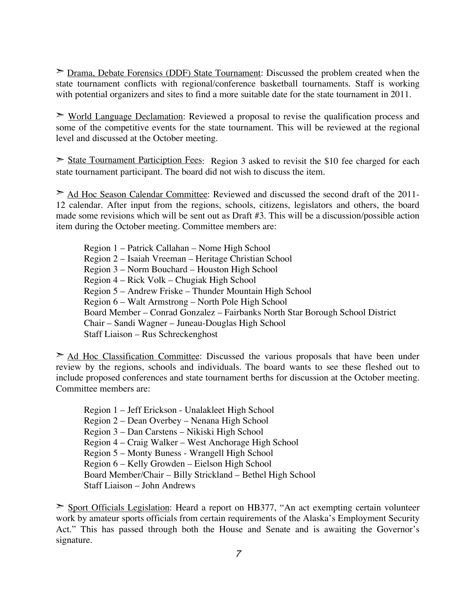➣ Drama, Debate Forensics (DDF) State Tournament: Discussed the problem created when the state tournament conflicts with regional/conference basketball tournaments. Staff is working with potential organizers and sites to find a more suitable date for the state tournament in 2011.

 $\geq$  World Language Declamation: Reviewed a proposal to revise the qualification process and some of the competitive events for the state tournament. This will be reviewed at the regional level and discussed at the October meeting.

 $\geq$  State Tournament Particiption Fees: Region 3 asked to revisit the \$10 fee charged for each state tournament participant. The board did not wish to discuss the item.

➣ Ad Hoc Season Calendar Committee: Reviewed and discussed the second draft of the 2011- 12 calendar. After input from the regions, schools, citizens, legislators and others, the board made some revisions which will be sent out as Draft #3. This will be a discussion/possible action item during the October meeting. Committee members are:

Region 1 – Patrick Callahan – Nome High School Region 2 – Isaiah Vreeman – Heritage Christian School Region 3 – Norm Bouchard – Houston High School Region 4 – Rick Volk – Chugiak High School Region 5 – Andrew Friske – Thunder Mountain High School Region 6 – Walt Armstrong – North Pole High School Board Member – Conrad Gonzalez – Fairbanks North Star Borough School District Chair – Sandi Wagner – Juneau-Douglas High School Staff Liaison – Rus Schreckenghost

 $\geq$  Ad Hoc Classification Committee: Discussed the various proposals that have been under review by the regions, schools and individuals. The board wants to see these fleshed out to include proposed conferences and state tournament berths for discussion at the October meeting. Committee members are:

Region 1 – Jeff Erickson - Unalakleet High School Region 2 – Dean Overbey – Nenana High School Region 3 – Dan Carstens – Nikiski High School Region 4 – Craig Walker – West Anchorage High School Region 5 – Monty Buness - Wrangell High School Region 6 – Kelly Growden – Eielson High School Board Member/Chair – Billy Strickland – Bethel High School Staff Liaison – John Andrews

➣ Sport Officials Legislation: Heard a report on HB377, "An act exempting certain volunteer work by amateur sports officials from certain requirements of the Alaska's Employment Security Act." This has passed through both the House and Senate and is awaiting the Governor's signature.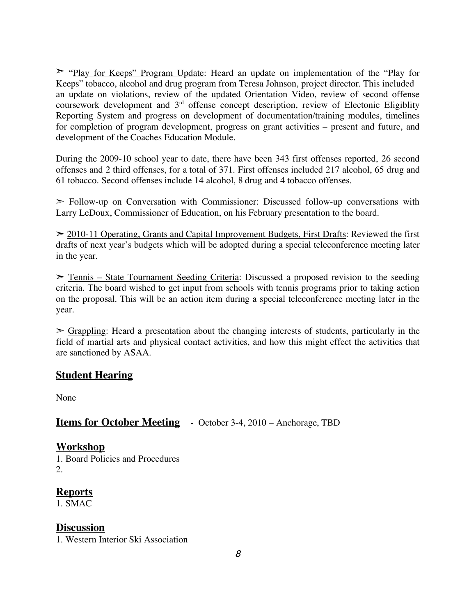➣ "Play for Keeps" Program Update: Heard an update on implementation of the "Play for Keeps" tobacco, alcohol and drug program from Teresa Johnson, project director. This included an update on violations, review of the updated Orientation Video, review of second offense coursework development and 3rd offense concept description, review of Electonic Eligiblity Reporting System and progress on development of documentation/training modules, timelines for completion of program development, progress on grant activities – present and future, and development of the Coaches Education Module.

During the 2009-10 school year to date, there have been 343 first offenses reported, 26 second offenses and 2 third offenses, for a total of 371. First offenses included 217 alcohol, 65 drug and 61 tobacco. Second offenses include 14 alcohol, 8 drug and 4 tobacco offenses.

 $\triangleright$  Follow-up on Conversation with Commissioner: Discussed follow-up conversations with Larry LeDoux, Commissioner of Education, on his February presentation to the board.

 $\geq$  2010-11 Operating, Grants and Capital Improvement Budgets, First Drafts: Reviewed the first drafts of next year's budgets which will be adopted during a special teleconference meeting later in the year.

➣ Tennis – State Tournament Seeding Criteria: Discussed a proposed revision to the seeding criteria. The board wished to get input from schools with tennis programs prior to taking action on the proposal. This will be an action item during a special teleconference meeting later in the year.

 $\geq$  Grappling: Heard a presentation about the changing interests of students, particularly in the field of martial arts and physical contact activities, and how this might effect the activities that are sanctioned by ASAA.

# **Student Hearing**

None

# **Items for October Meeting -** October 3-4, 2010 – Anchorage, TBD

#### **Workshop**

1. Board Policies and Procedures 2.

# **Reports**

1. SMAC

# **Discussion**

1. Western Interior Ski Association